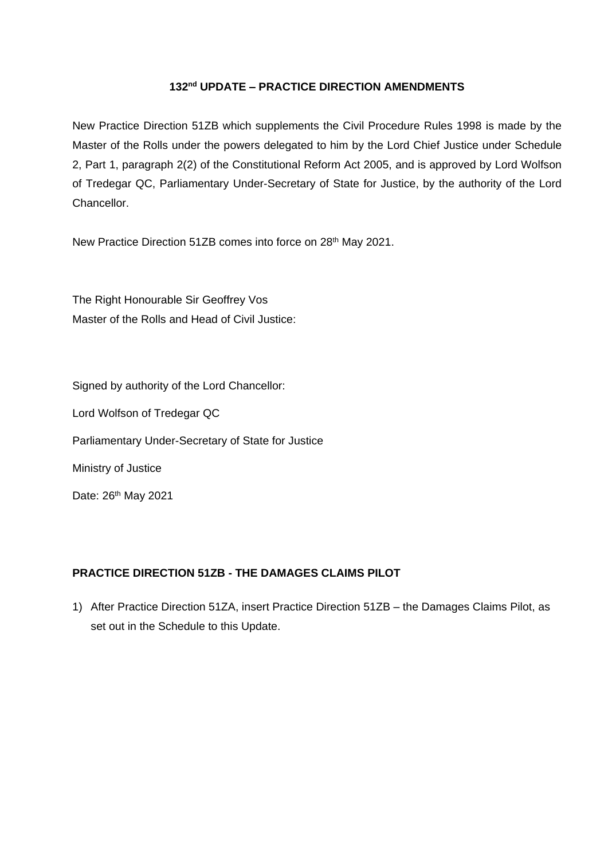#### **132 nd UPDATE – PRACTICE DIRECTION AMENDMENTS**

New Practice Direction 51ZB which supplements the Civil Procedure Rules 1998 is made by the Master of the Rolls under the powers delegated to him by the Lord Chief Justice under Schedule 2, Part 1, paragraph 2(2) of the Constitutional Reform Act 2005, and is approved by Lord Wolfson of Tredegar QC, Parliamentary Under-Secretary of State for Justice, by the authority of the Lord Chancellor.

New Practice Direction 51ZB comes into force on 28<sup>th</sup> May 2021.

The Right Honourable Sir Geoffrey Vos Master of the Rolls and Head of Civil Justice:

Signed by authority of the Lord Chancellor: Lord Wolfson of Tredegar QC Parliamentary Under-Secretary of State for Justice Ministry of Justice Date: 26<sup>th</sup> May 2021

#### **PRACTICE DIRECTION 51ZB - THE DAMAGES CLAIMS PILOT**

1) After Practice Direction 51ZA, insert Practice Direction 51ZB – the Damages Claims Pilot, as set out in the Schedule to this Update.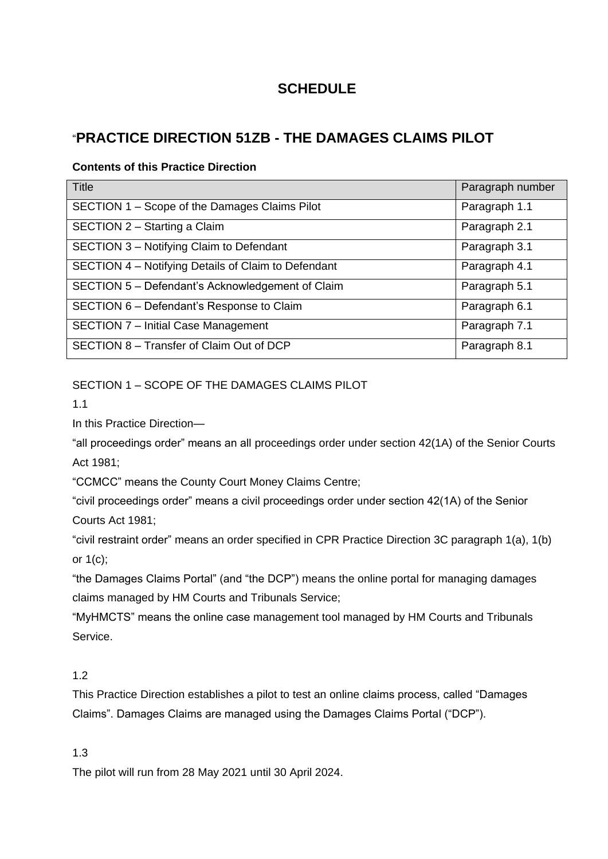# **SCHEDULE**

# "**PRACTICE DIRECTION 51ZB - THE DAMAGES CLAIMS PILOT**

#### **Contents of this Practice Direction**

| <b>Title</b>                                        | Paragraph number |
|-----------------------------------------------------|------------------|
| SECTION 1 – Scope of the Damages Claims Pilot       | Paragraph 1.1    |
| SECTION 2 - Starting a Claim                        | Paragraph 2.1    |
| SECTION 3 - Notifying Claim to Defendant            | Paragraph 3.1    |
| SECTION 4 - Notifying Details of Claim to Defendant | Paragraph 4.1    |
| SECTION 5 - Defendant's Acknowledgement of Claim    | Paragraph 5.1    |
| SECTION 6 - Defendant's Response to Claim           | Paragraph 6.1    |
| SECTION 7 - Initial Case Management                 | Paragraph 7.1    |
| SECTION 8 - Transfer of Claim Out of DCP            | Paragraph 8.1    |

SECTION 1 – SCOPE OF THE DAMAGES CLAIMS PILOT

1.1

In this Practice Direction—

"all proceedings order" means an all proceedings order under section 42(1A) of the Senior Courts Act 1981;

"CCMCC" means the County Court Money Claims Centre;

"civil proceedings order" means a civil proceedings order under section 42(1A) of the Senior Courts Act 1981;

"civil restraint order" means an order specified in CPR Practice Direction 3C paragraph 1(a), 1(b) or 1(c);

"the Damages Claims Portal" (and "the DCP") means the online portal for managing damages claims managed by HM Courts and Tribunals Service;

"MyHMCTS" means the online case management tool managed by HM Courts and Tribunals Service.

## 1.2

This Practice Direction establishes a pilot to test an online claims process, called "Damages Claims". Damages Claims are managed using the Damages Claims Portal ("DCP").

1.3

The pilot will run from 28 May 2021 until 30 April 2024.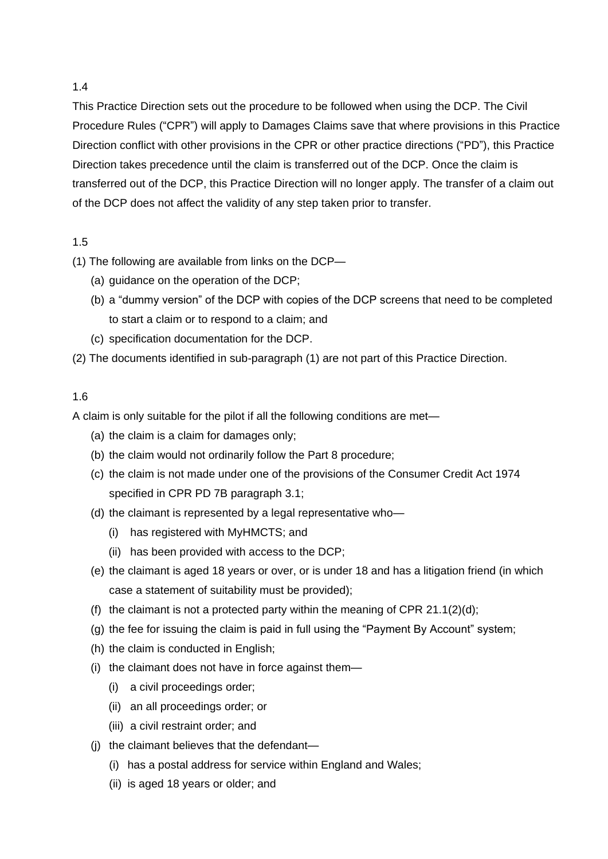This Practice Direction sets out the procedure to be followed when using the DCP. The Civil Procedure Rules ("CPR") will apply to Damages Claims save that where provisions in this Practice Direction conflict with other provisions in the CPR or other practice directions ("PD"), this Practice Direction takes precedence until the claim is transferred out of the DCP. Once the claim is transferred out of the DCP, this Practice Direction will no longer apply. The transfer of a claim out of the DCP does not affect the validity of any step taken prior to transfer.

#### 1.5

- (1) The following are available from links on the DCP—
	- (a) guidance on the operation of the DCP;
	- (b) a "dummy version" of the DCP with copies of the DCP screens that need to be completed to start a claim or to respond to a claim; and
	- (c) specification documentation for the DCP.
- (2) The documents identified in sub-paragraph (1) are not part of this Practice Direction.

#### 1.6

A claim is only suitable for the pilot if all the following conditions are met—

- (a) the claim is a claim for damages only;
- (b) the claim would not ordinarily follow the Part 8 procedure;
- (c) the claim is not made under one of the provisions of the Consumer Credit Act 1974 specified in CPR PD 7B paragraph 3.1;
- (d) the claimant is represented by a legal representative who—
	- (i) has registered with MyHMCTS; and
	- (ii) has been provided with access to the DCP;
- (e) the claimant is aged 18 years or over, or is under 18 and has a litigation friend (in which case a statement of suitability must be provided);
- (f) the claimant is not a protected party within the meaning of CPR  $21.1(2)(d)$ ;
- (g) the fee for issuing the claim is paid in full using the "Payment By Account" system;
- (h) the claim is conducted in English;
- (i) the claimant does not have in force against them—
	- (i) a civil proceedings order;
	- (ii) an all proceedings order; or
	- (iii) a civil restraint order; and
- (j) the claimant believes that the defendant—
	- (i) has a postal address for service within England and Wales;
	- (ii) is aged 18 years or older; and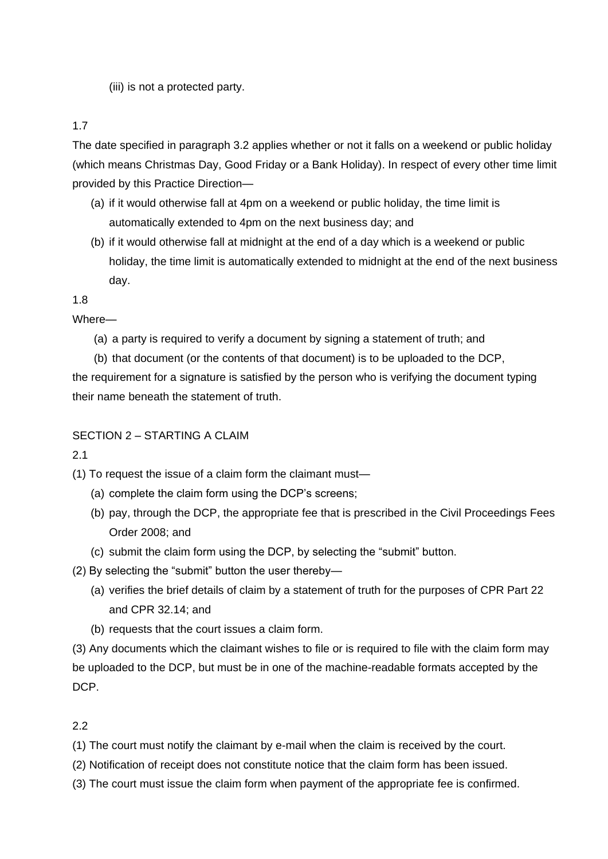(iii) is not a protected party.

1.7

The date specified in paragraph 3.2 applies whether or not it falls on a weekend or public holiday (which means Christmas Day, Good Friday or a Bank Holiday). In respect of every other time limit provided by this Practice Direction—

- (a) if it would otherwise fall at 4pm on a weekend or public holiday, the time limit is automatically extended to 4pm on the next business day; and
- (b) if it would otherwise fall at midnight at the end of a day which is a weekend or public holiday, the time limit is automatically extended to midnight at the end of the next business day.

1.8

Where—

- (a) a party is required to verify a document by signing a statement of truth; and
- (b) that document (or the contents of that document) is to be uploaded to the DCP, the requirement for a signature is satisfied by the person who is verifying the document typing their name beneath the statement of truth.

# SECTION 2 – STARTING A CLAIM

2.1

- (1) To request the issue of a claim form the claimant must—
	- (a) complete the claim form using the DCP's screens;
	- (b) pay, through the DCP, the appropriate fee that is prescribed in the Civil Proceedings Fees Order 2008; and
	- (c) submit the claim form using the DCP, by selecting the "submit" button.
- (2) By selecting the "submit" button the user thereby—
	- (a) verifies the brief details of claim by a statement of truth for the purposes of CPR Part 22 and CPR 32.14; and
	- (b) requests that the court issues a claim form.

(3) Any documents which the claimant wishes to file or is required to file with the claim form may be uploaded to the DCP, but must be in one of the machine-readable formats accepted by the DCP.

# 2.2

(1) The court must notify the claimant by e-mail when the claim is received by the court.

- (2) Notification of receipt does not constitute notice that the claim form has been issued.
- (3) The court must issue the claim form when payment of the appropriate fee is confirmed.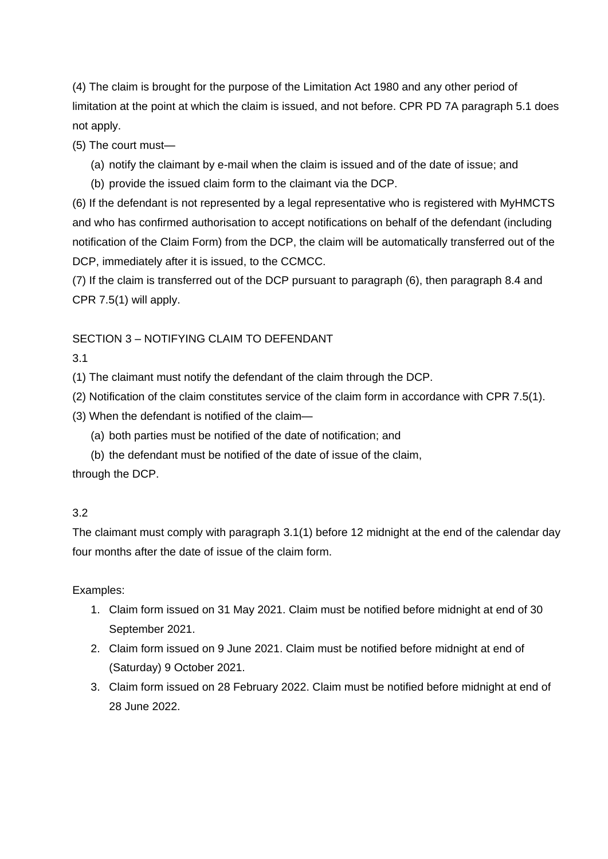(4) The claim is brought for the purpose of the Limitation Act 1980 and any other period of limitation at the point at which the claim is issued, and not before. CPR PD 7A paragraph 5.1 does not apply.

(5) The court must—

- (a) notify the claimant by e-mail when the claim is issued and of the date of issue; and
- (b) provide the issued claim form to the claimant via the DCP.

(6) If the defendant is not represented by a legal representative who is registered with MyHMCTS and who has confirmed authorisation to accept notifications on behalf of the defendant (including notification of the Claim Form) from the DCP, the claim will be automatically transferred out of the DCP, immediately after it is issued, to the CCMCC.

(7) If the claim is transferred out of the DCP pursuant to paragraph (6), then paragraph 8.4 and CPR 7.5(1) will apply.

#### SECTION 3 – NOTIFYING CLAIM TO DEFENDANT

3.1

(1) The claimant must notify the defendant of the claim through the DCP.

- (2) Notification of the claim constitutes service of the claim form in accordance with CPR 7.5(1).
- (3) When the defendant is notified of the claim—
	- (a) both parties must be notified of the date of notification; and
- (b) the defendant must be notified of the date of issue of the claim, through the DCP.

#### 3.2

The claimant must comply with paragraph 3.1(1) before 12 midnight at the end of the calendar day four months after the date of issue of the claim form.

Examples:

- 1. Claim form issued on 31 May 2021. Claim must be notified before midnight at end of 30 September 2021.
- 2. Claim form issued on 9 June 2021. Claim must be notified before midnight at end of (Saturday) 9 October 2021.
- 3. Claim form issued on 28 February 2022. Claim must be notified before midnight at end of 28 June 2022.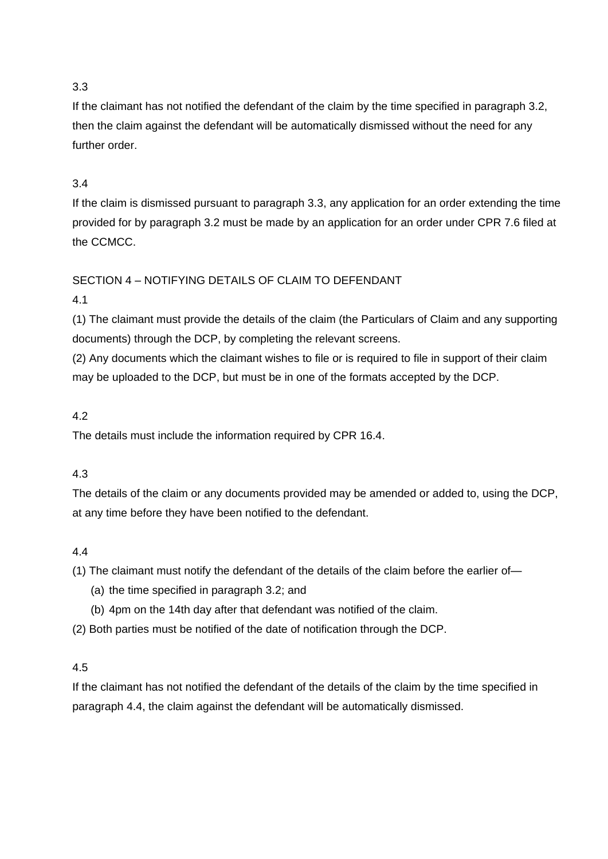If the claimant has not notified the defendant of the claim by the time specified in paragraph 3.2, then the claim against the defendant will be automatically dismissed without the need for any further order.

## 3.4

If the claim is dismissed pursuant to paragraph 3.3, any application for an order extending the time provided for by paragraph 3.2 must be made by an application for an order under CPR 7.6 filed at the CCMCC.

# SECTION 4 – NOTIFYING DETAILS OF CLAIM TO DEFENDANT

## 4.1

(1) The claimant must provide the details of the claim (the Particulars of Claim and any supporting documents) through the DCP, by completing the relevant screens.

(2) Any documents which the claimant wishes to file or is required to file in support of their claim may be uploaded to the DCP, but must be in one of the formats accepted by the DCP.

## 4.2

The details must include the information required by CPR 16.4.

# 4.3

The details of the claim or any documents provided may be amended or added to, using the DCP, at any time before they have been notified to the defendant.

#### 4.4

(1) The claimant must notify the defendant of the details of the claim before the earlier of—

- (a) the time specified in paragraph 3.2; and
- (b) 4pm on the 14th day after that defendant was notified of the claim.

(2) Both parties must be notified of the date of notification through the DCP.

#### 4.5

If the claimant has not notified the defendant of the details of the claim by the time specified in paragraph 4.4, the claim against the defendant will be automatically dismissed.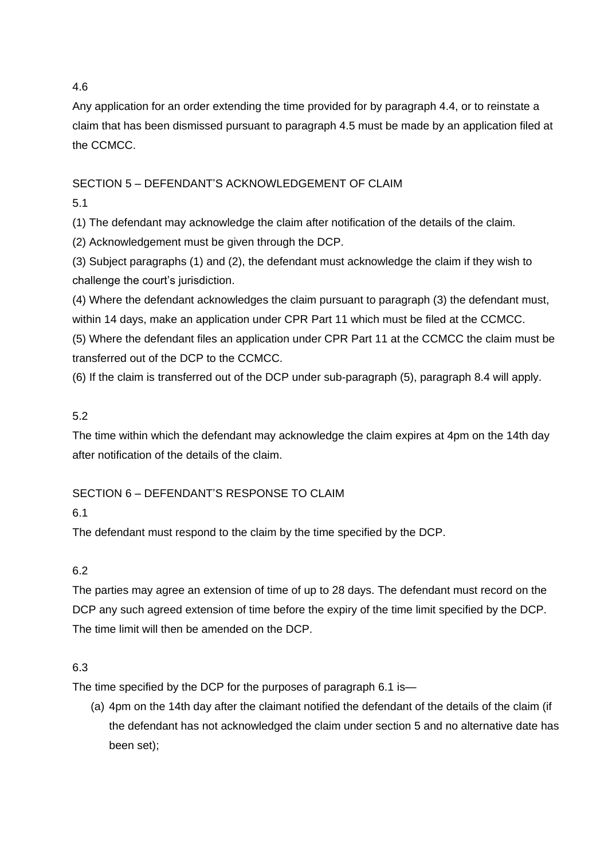Any application for an order extending the time provided for by paragraph 4.4, or to reinstate a claim that has been dismissed pursuant to paragraph 4.5 must be made by an application filed at the CCMCC.

## SECTION 5 – DEFENDANT'S ACKNOWLEDGEMENT OF CLAIM

5.1

(1) The defendant may acknowledge the claim after notification of the details of the claim.

(2) Acknowledgement must be given through the DCP.

(3) Subject paragraphs (1) and (2), the defendant must acknowledge the claim if they wish to challenge the court's jurisdiction.

(4) Where the defendant acknowledges the claim pursuant to paragraph (3) the defendant must,

within 14 days, make an application under CPR Part 11 which must be filed at the CCMCC.

(5) Where the defendant files an application under CPR Part 11 at the CCMCC the claim must be transferred out of the DCP to the CCMCC.

(6) If the claim is transferred out of the DCP under sub-paragraph (5), paragraph 8.4 will apply.

# 5.2

The time within which the defendant may acknowledge the claim expires at 4pm on the 14th day after notification of the details of the claim.

# SECTION 6 – DEFENDANT'S RESPONSE TO CLAIM

6.1

The defendant must respond to the claim by the time specified by the DCP.

# 6.2

The parties may agree an extension of time of up to 28 days. The defendant must record on the DCP any such agreed extension of time before the expiry of the time limit specified by the DCP. The time limit will then be amended on the DCP.

# 6.3

The time specified by the DCP for the purposes of paragraph 6.1 is—

(a) 4pm on the 14th day after the claimant notified the defendant of the details of the claim (if the defendant has not acknowledged the claim under section 5 and no alternative date has been set);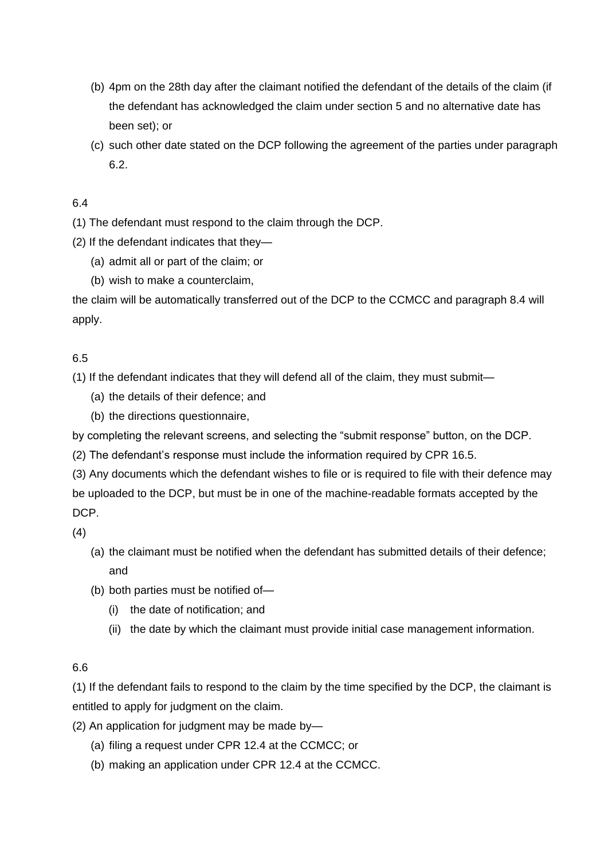- (b) 4pm on the 28th day after the claimant notified the defendant of the details of the claim (if the defendant has acknowledged the claim under section 5 and no alternative date has been set); or
- (c) such other date stated on the DCP following the agreement of the parties under paragraph 6.2.

- (1) The defendant must respond to the claim through the DCP.
- (2) If the defendant indicates that they—
	- (a) admit all or part of the claim; or
	- (b) wish to make a counterclaim,

the claim will be automatically transferred out of the DCP to the CCMCC and paragraph 8.4 will apply.

#### 6.5

(1) If the defendant indicates that they will defend all of the claim, they must submit—

- (a) the details of their defence; and
- (b) the directions questionnaire,

by completing the relevant screens, and selecting the "submit response" button, on the DCP.

(2) The defendant's response must include the information required by CPR 16.5.

(3) Any documents which the defendant wishes to file or is required to file with their defence may be uploaded to the DCP, but must be in one of the machine-readable formats accepted by the DCP.

(4)

- (a) the claimant must be notified when the defendant has submitted details of their defence; and
- (b) both parties must be notified of—
	- (i) the date of notification; and
	- (ii) the date by which the claimant must provide initial case management information.

#### 6.6

(1) If the defendant fails to respond to the claim by the time specified by the DCP, the claimant is entitled to apply for judgment on the claim.

- (2) An application for judgment may be made by—
	- (a) filing a request under CPR 12.4 at the CCMCC; or
	- (b) making an application under CPR 12.4 at the CCMCC.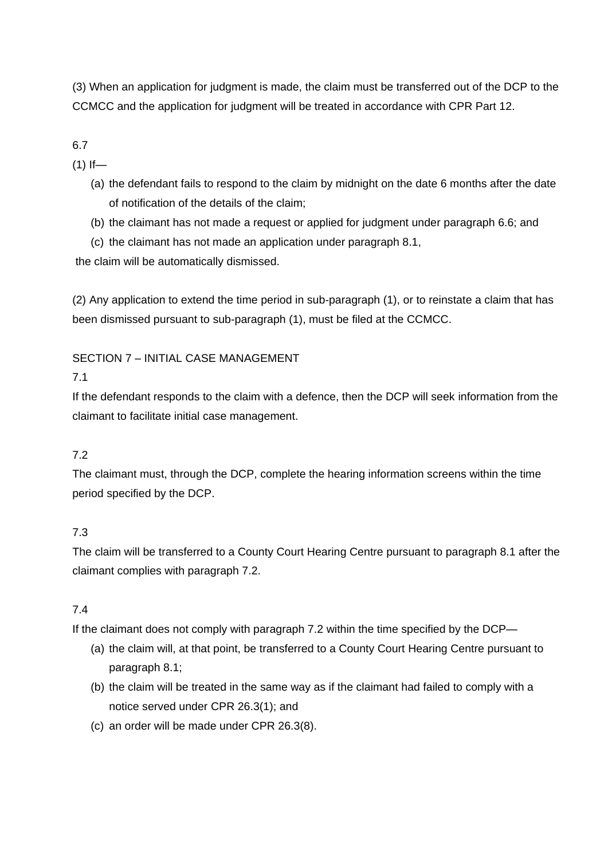(3) When an application for judgment is made, the claim must be transferred out of the DCP to the CCMCC and the application for judgment will be treated in accordance with CPR Part 12.

6.7

 $(1)$  If—

- (a) the defendant fails to respond to the claim by midnight on the date 6 months after the date of notification of the details of the claim;
- (b) the claimant has not made a request or applied for judgment under paragraph 6.6; and
- (c) the claimant has not made an application under paragraph 8.1,

the claim will be automatically dismissed.

(2) Any application to extend the time period in sub-paragraph (1), or to reinstate a claim that has been dismissed pursuant to sub-paragraph (1), must be filed at the CCMCC.

## SECTION 7 – INITIAL CASE MANAGEMENT

## 7.1

If the defendant responds to the claim with a defence, then the DCP will seek information from the claimant to facilitate initial case management.

# 7.2

The claimant must, through the DCP, complete the hearing information screens within the time period specified by the DCP.

# 7.3

The claim will be transferred to a County Court Hearing Centre pursuant to paragraph 8.1 after the claimant complies with paragraph 7.2.

# 7.4

If the claimant does not comply with paragraph 7.2 within the time specified by the DCP—

- (a) the claim will, at that point, be transferred to a County Court Hearing Centre pursuant to paragraph 8.1;
- (b) the claim will be treated in the same way as if the claimant had failed to comply with a notice served under CPR 26.3(1); and
- (c) an order will be made under CPR 26.3(8).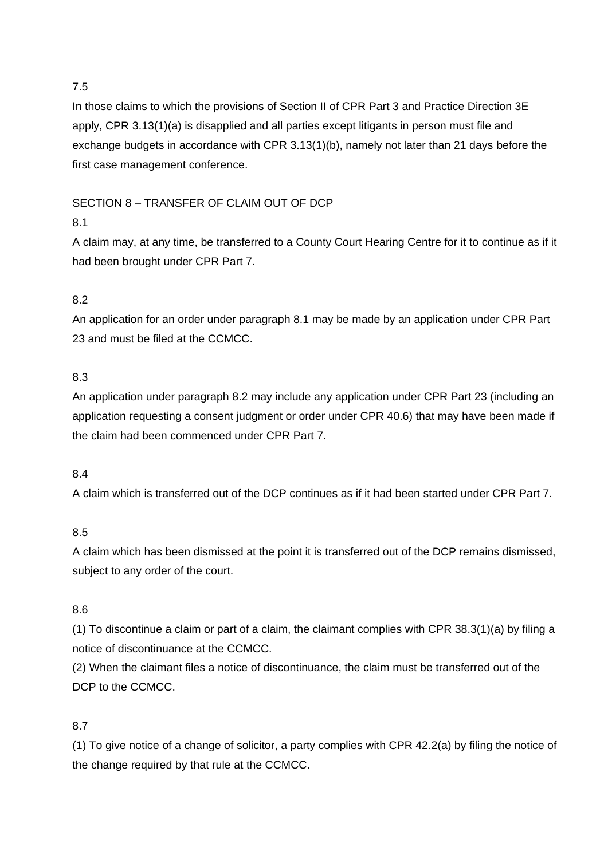In those claims to which the provisions of Section II of CPR Part 3 and Practice Direction 3E apply, CPR 3.13(1)(a) is disapplied and all parties except litigants in person must file and exchange budgets in accordance with CPR 3.13(1)(b), namely not later than 21 days before the first case management conference.

## SECTION 8 – TRANSFER OF CLAIM OUT OF DCP

# 8.1

A claim may, at any time, be transferred to a County Court Hearing Centre for it to continue as if it had been brought under CPR Part 7.

# 8.2

An application for an order under paragraph 8.1 may be made by an application under CPR Part 23 and must be filed at the CCMCC.

## 8.3

An application under paragraph 8.2 may include any application under CPR Part 23 (including an application requesting a consent judgment or order under CPR 40.6) that may have been made if the claim had been commenced under CPR Part 7.

#### 8.4

A claim which is transferred out of the DCP continues as if it had been started under CPR Part 7.

# 8.5

A claim which has been dismissed at the point it is transferred out of the DCP remains dismissed, subject to any order of the court.

#### 8.6

(1) To discontinue a claim or part of a claim, the claimant complies with CPR 38.3(1)(a) by filing a notice of discontinuance at the CCMCC.

(2) When the claimant files a notice of discontinuance, the claim must be transferred out of the DCP to the CCMCC.

# 8.7

(1) To give notice of a change of solicitor, a party complies with CPR 42.2(a) by filing the notice of the change required by that rule at the CCMCC.